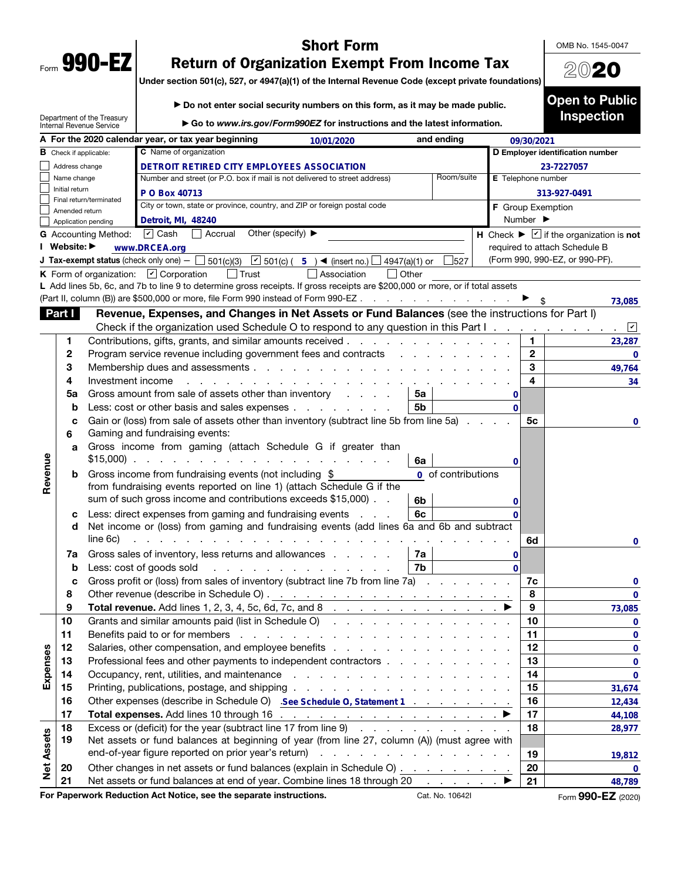| Form<br>T. | <b>490</b><br>U |
|------------|-----------------|
|            |                 |

Department of the Treasury

## Short Form

OMB No. 1545-0047

2020

Open to Public Inspection

# Return of Organization Exempt From Income Tax

Under section 501(c), 527, or 4947(a)(1) of the Internal Revenue Code (except private foundations)

▶ Go to *www.irs.gov/Form990EZ* for instructions and the latest information. Internal Revenue Service A For the 2020 calendar year, or tax year beginning and  $10/01/2020$  and ending **4947 and ending**<br> **10/01/2020**<br> **10.101/2020**<br> **10.101/2020**<br> **10.1011/2020**<br> **10.1011/2020**<br> **10.1011/2020**<br> **10.1011/2020**<br> **10.1011/2020**<br> **10.1011/2020**<br> **10.1011/202011**<br> **10.1011/202011**<br> **10.1011/20201111111111111 19/30/2021**<br> **19/30/2021**<br> **19/30/2021**<br> **19/400 20:47227057**<br> **19/400 Example 19/401**<br> **19/401**<br> **19/401**<br> **19/401**<br> **19/401**<br> **19/401**<br> **19/401**<br> **19/401**<br> **19/401**<br> **19/401**<br> **19/401**<br> **19/401**<br> **19/401**<br> **19/401** C Name of organization **B** Check if applicable: D Employer identification number Address change **DETROIT RETIRED CITY EMPLOYEES ASSOCIATION EVENT RETERENT CONTENENTS ASSOCIATION**<br> **28,978 23-7227057 28,978 23-7227057 28,978 23-722705 23-722705 23-722705 23-722705 23-7228 23-7228 23-7228 23-7228 23-7228 23-7228 23-7228 23-7228** Name change Number and street (or P.O. box if mail is not delivered to street address) Room/suite **E** Telephone number Initial return **P O Box 40713** P O Box 40713 313-927-0491<br>City or town, state or province, country, and ZIP or foreign postal code **F** Group Exemption<br>Detroit, MI, 48240 **Proper Control** Burn ber ► Final return/terminated City or town, state or province, country, and ZIP or foreign postal code **F** Group Exemption Amended return Number ▶ Application pending **▽** Cash Accrual G Accounting Method: **○** Cash **CACCRUAT Accrual Other (specify)** ▶ **H** Check ▶ **If the organization is not** I Website: ▶ required to attach Schedule B (Form 990, 990-EZ, or 990-PF). **J Tax-exempt status** (check only one)  $-\Box$  501(c)(3)  $\Box$  501(c) (5) **4** (insert no.)  $\Box$  4947(a)(1) or  $\Box$  527  $\frac{4}{15}$ <br>  $\frac{4}{15}$ <br>  $\frac{4}{15}$ <br>  $\frac{4}{15}$ <br>  $\frac{4}{15}$ <br>  $\frac{4}{15}$ <br>  $\frac{4}{15}$ <br>  $\frac{4}{15}$ <br>  $\frac{4}{15}$ <br>  $\frac{4}{15}$ <br>  $\frac{4}{15}$ <br>  $\frac{4}{15}$ <br>  $\frac{4}{15}$ <br>  $\frac{4}{15}$ <br>  $\frac{4}{15}$ <br>  $\frac{4}{15}$ <br>  $\frac{4}{15}$ <br>  $\frac{4}{15}$ <br>  $\frac{4$ K Form of organization:  $\Box$  Corporation  $\Box$  Trust  $\Box$  Association  $\Box$  Other L Add lines 5b, 6c, and 7b to line 9 to determine gross receipts. If gross receipts are \$200,000 or more, or if total assets (Part II, column (B)) are \$500,000 or more, file Form 990 instead of Form 990-EZ . . . . . . . . . . . . . . . .  $\blacktriangleright$  \$ **73,085** Part I Revenue, Expenses, and Changes in Net Assets or Fund Balances (see the instructions for Part I) Check if the organization used Schedule O to respond to any question in this Part I ✔ 1 Contributions, gifts, grants, and similar amounts received . . . . . . . . . . . . . . 1 **23,287** 2 Program service revenue including government fees and contracts . . . . . . . . . . . 2 **0**3 Membership dues and assessments . . . . . . . . . . . . . . . . . . . . 3 4 Investment income . . . . . . . . . . . . . . . . . . . . . . . . . 4 **5a** Gross amount from sale of assets other than inventory  $\cdot$  .  $\cdot$   $\cdot$  5a **0 b** Less: cost or other basis and sales expenses . . . . . . . . .  $\vert$  5b **44,108 0** c Gain or (loss) from sale of assets other than inventory (subtract line 5b from line 5a)  $\ldots$  .  $\vdots$ **0 6** Gaming and fundraising events: a Gross income from gaming (attach Schedule G if greater than Revenue Revenue \$15,000) . . . . . . . . . . . . . . . . . . . . 6a **0 b** Gross income from fundraising events (not including  $$$ **0** of contributions from fundraising events reported on line 1) (attach Schedule G if the sum of such gross income and contributions exceeds \$15,000)  $\ldots$   $\mid 6b$ c Less: direct expenses from gaming and fundraising events  $\ldots$   $\vdots$ **0** d Net income or (loss) from gaming and fundraising events (add lines 6a and 6b and subtract line 6c) . . . . . . . . . . . . . . . . . . . . . . . . . . . . . 6d **7a** Gross sales of inventory, less returns and allowances  $\ldots$   $\ldots$   $7a$ 0<br>
0<br> **12**<br> **13**<br> **14**<br> **15**<br> **16**<br> **17**<br> **17**<br> **17**<br> **17**<br> **18**<br> **17**<br> **18**<br> **17**<br> **18**<br> **18**<br> **18**<br> **18**<br> **17**<br> **18**<br> **18**<br> **17**<br> **18**<br> **18**<br> **17**<br> **18**<br> **18**<br> **17**<br> **18**<br> **17**<br> **18**<br> **17**<br> **18**<br> **17**<br> **18**<br> **18**<br> **18**<br> **b** Less: cost of goods sold  $\therefore$  . . . . . . . . . . . . . . . 7b **0** c Gross profit or (loss) from sales of inventory (subtract line 7b from line 7a)  $\ldots$  . . . . . . 7c  $\begin{array}{r} \n 0 \\
 \hline\n 0\n \end{array}$  **73.085** 8 Other revenue (describe in Schedule O) . . . . . . . . . . . . . . . . . . . 8 **0** 9 Total revenue. Add lines 1, 2, 3, 4, 5c, 6d, 7c, and 8 . . . . . . . . . . . . . ▶ 9 10 Grants and similar amounts paid (list in Schedule O) . . . . . . . . . . . . . . . . 10 **0 11** Benefits paid to or for members  $\ldots$ ,  $\ldots$ ,  $\ldots$ ,  $\ldots$ ,  $\ldots$ ,  $\ldots$ ,  $\ldots$ ,  $\vert$  **11 0** Expenses 12 Salaries, other compensation, and employee benefits . . . . . . . . . . . . . . . . 12 **See Schedule O, Statement 1 <sup>0</sup>** Expenses 13 Professional fees and other payments to independent contractors . . . . . . . . . . | 13 **0** 14 Occupancy, rent, utilities, and maintenance . . . . . . . . . . . . . . . . . . 14 **0** 15 Printing, publications, postage, and shipping . . . . . . . . . . . . . . . . . 15 **31,674**<br> **12,434**<br> **44,108**<br> **28,977**<br> **19,812**<br> **0** 16 Other expenses (describe in Schedule O) . See Schedule O, Statement 1 . . . . . . . . . | 16 17 Total expenses. Add lines 10 through 16  $\ldots$  . . . . . . . . . . . . . . . . . .  $\blacktriangleright$  | 17 18 Excess or (deficit) for the year (subtract line 17 from line  $9$  . . . . . . . . . . . . . 18 Net Assets **Net Assets** 19 Net assets or fund balances at beginning of year (from line 27, column (A)) (must agree with end-of-year figure reported on prior year's return)  $\cdots$  . . . . . . . . . . . . . . . . . . 19 20 Other changes in net assets or fund balances (explain in Schedule O)  $\ldots$  . . . . . . . 20 21 Net assets or fund balances at end of year. Combine lines 18 through 20  $\ldots$  .  $\blacktriangleright$  | 21 For Paperwork Reduction Act Notice, see the separate instructions. Cat. No. 10642I Form 990-EZ (2020)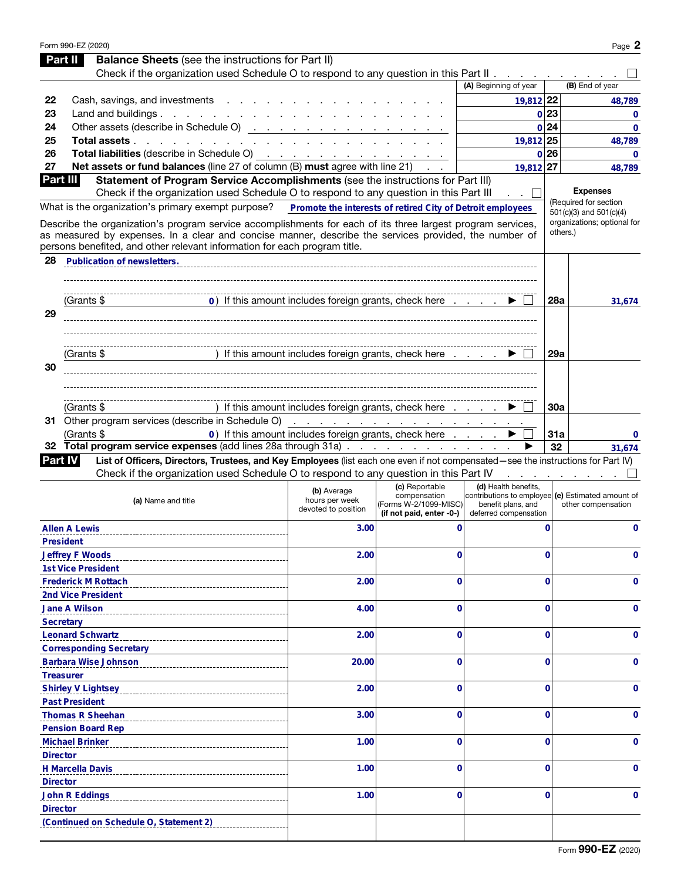|                 | Form 990-EZ (2020)                                                                                                                                                                                                                                                                                |                                                       |                                                                   |                                                                                                  |             | Page 2                                  |
|-----------------|---------------------------------------------------------------------------------------------------------------------------------------------------------------------------------------------------------------------------------------------------------------------------------------------------|-------------------------------------------------------|-------------------------------------------------------------------|--------------------------------------------------------------------------------------------------|-------------|-----------------------------------------|
|                 | <b>Balance Sheets</b> (see the instructions for Part II)<br>Part II                                                                                                                                                                                                                               |                                                       |                                                                   |                                                                                                  |             |                                         |
|                 | Check if the organization used Schedule O to respond to any question in this Part II                                                                                                                                                                                                              |                                                       |                                                                   |                                                                                                  |             |                                         |
|                 |                                                                                                                                                                                                                                                                                                   |                                                       |                                                                   | (A) Beginning of year                                                                            |             | (B) End of year                         |
| 22              | Cash, savings, and investments                                                                                                                                                                                                                                                                    |                                                       |                                                                   | 19,812 22                                                                                        |             | 48,789                                  |
| 23              | Land and buildings. $\ldots$ $\ldots$ $\ldots$ $\ldots$ $\ldots$ $\ldots$                                                                                                                                                                                                                         |                                                       |                                                                   |                                                                                                  | 0 23        | $\mathbf 0$                             |
| 24              | Other assets (describe in Schedule O) <u>.</u>                                                                                                                                                                                                                                                    |                                                       |                                                                   |                                                                                                  | 0 24        | $\mathbf{0}$                            |
| 25              | <b>Total assets</b>                                                                                                                                                                                                                                                                               |                                                       |                                                                   | 19,812 25                                                                                        |             | 48,789                                  |
| 26              | Total liabilities (describe in Schedule O) (etc.) (etc.) (etc.) (etc.) (etc.) (etc.) (etc.) (etc.) (etc.) (etc.)                                                                                                                                                                                  |                                                       |                                                                   |                                                                                                  | 0 26        | $\mathbf{0}$                            |
| 27              | Net assets or fund balances (line 27 of column (B) must agree with line 21)                                                                                                                                                                                                                       |                                                       |                                                                   | 19,812 27                                                                                        |             | 48,789                                  |
| Part III        | Statement of Program Service Accomplishments (see the instructions for Part III)                                                                                                                                                                                                                  |                                                       |                                                                   |                                                                                                  |             | <b>Expenses</b>                         |
|                 | Check if the organization used Schedule O to respond to any question in this Part III                                                                                                                                                                                                             |                                                       |                                                                   |                                                                                                  |             | (Required for section                   |
|                 | What is the organization's primary exempt purpose?  Promote the interests of retired City of Detroit employees                                                                                                                                                                                    |                                                       |                                                                   |                                                                                                  |             | $501(c)(3)$ and $501(c)(4)$             |
|                 | Describe the organization's program service accomplishments for each of its three largest program services,<br>as measured by expenses. In a clear and concise manner, describe the services provided, the number of<br>persons benefited, and other relevant information for each program title. |                                                       |                                                                   |                                                                                                  |             | organizations; optional for<br>others.) |
| 28              | <b>Publication of newsletters.</b>                                                                                                                                                                                                                                                                |                                                       |                                                                   |                                                                                                  |             |                                         |
|                 |                                                                                                                                                                                                                                                                                                   |                                                       |                                                                   |                                                                                                  |             |                                         |
|                 | (Grants \$                                                                                                                                                                                                                                                                                        | 0) If this amount includes foreign grants, check here |                                                                   |                                                                                                  | <b>28a</b>  | 31,674                                  |
| 29              |                                                                                                                                                                                                                                                                                                   |                                                       |                                                                   |                                                                                                  |             |                                         |
|                 |                                                                                                                                                                                                                                                                                                   |                                                       |                                                                   |                                                                                                  |             |                                         |
|                 | (Grants \$                                                                                                                                                                                                                                                                                        | ) If this amount includes foreign grants, check here  |                                                                   |                                                                                                  | 29a         |                                         |
| 30              |                                                                                                                                                                                                                                                                                                   |                                                       |                                                                   |                                                                                                  |             |                                         |
|                 |                                                                                                                                                                                                                                                                                                   |                                                       |                                                                   |                                                                                                  |             |                                         |
|                 | (Grants \$                                                                                                                                                                                                                                                                                        | If this amount includes foreign grants, check here    |                                                                   |                                                                                                  | 30a         |                                         |
|                 |                                                                                                                                                                                                                                                                                                   |                                                       |                                                                   |                                                                                                  |             |                                         |
|                 | (Grants \$                                                                                                                                                                                                                                                                                        | 0) If this amount includes foreign grants, check here |                                                                   |                                                                                                  | 31a         | 0                                       |
| 32              | Total program service expenses (add lines 28a through 31a)                                                                                                                                                                                                                                        |                                                       |                                                                   |                                                                                                  | 32          | 31.674                                  |
| <b>Part IV</b>  | List of Officers, Directors, Trustees, and Key Employees (list each one even if not compensated-see the instructions for Part IV)                                                                                                                                                                 |                                                       |                                                                   |                                                                                                  |             |                                         |
|                 | Check if the organization used Schedule O to respond to any question in this Part IV                                                                                                                                                                                                              |                                                       |                                                                   |                                                                                                  |             |                                         |
|                 |                                                                                                                                                                                                                                                                                                   | (b) Average                                           | (c) Reportable                                                    | (d) Health benefits.                                                                             |             |                                         |
|                 | (a) Name and title                                                                                                                                                                                                                                                                                | hours per week<br>devoted to position                 | compensation<br>(Forms W-2/1099-MISC)<br>(if not paid, enter -0-) | contributions to employee (e) Estimated amount of<br>benefit plans, and<br>deferred compensation |             | other compensation                      |
|                 | <b>Allen A Lewis</b>                                                                                                                                                                                                                                                                              | 3.00                                                  | 0                                                                 |                                                                                                  | $\mathbf 0$ | 0                                       |
|                 | <b>President</b>                                                                                                                                                                                                                                                                                  |                                                       |                                                                   |                                                                                                  |             |                                         |
|                 | <b>Jeffrey F Woods</b>                                                                                                                                                                                                                                                                            | 2.00                                                  | 0                                                                 |                                                                                                  | 0           | 0                                       |
|                 | <b>1st Vice President</b>                                                                                                                                                                                                                                                                         |                                                       |                                                                   |                                                                                                  |             |                                         |
|                 | <b>Frederick M Rottach</b>                                                                                                                                                                                                                                                                        | 2.00                                                  | 0                                                                 |                                                                                                  | 0           | 0                                       |
|                 | <b>2nd Vice President</b>                                                                                                                                                                                                                                                                         |                                                       |                                                                   |                                                                                                  |             |                                         |
|                 | <b>Jane A Wilson</b>                                                                                                                                                                                                                                                                              | 4.00                                                  | 0                                                                 |                                                                                                  | 0           | 0                                       |
|                 | <b>Secretary</b>                                                                                                                                                                                                                                                                                  |                                                       |                                                                   |                                                                                                  |             |                                         |
|                 | <b>Leonard Schwartz</b>                                                                                                                                                                                                                                                                           | 2.00                                                  | 0                                                                 |                                                                                                  | 0           | 0                                       |
|                 | <b>Corresponding Secretary</b>                                                                                                                                                                                                                                                                    |                                                       |                                                                   |                                                                                                  |             |                                         |
|                 | <b>Barbara Wise Johnson</b>                                                                                                                                                                                                                                                                       | 20.00                                                 | 0                                                                 |                                                                                                  | 0           | 0                                       |
|                 | <b>Treasurer</b>                                                                                                                                                                                                                                                                                  |                                                       | 0                                                                 |                                                                                                  | 0           | 0                                       |
|                 | <b>Shirley V Lightsey</b><br><b>Past President</b>                                                                                                                                                                                                                                                | 2.00                                                  |                                                                   |                                                                                                  |             |                                         |
|                 | <b>Thomas R Sheehan</b>                                                                                                                                                                                                                                                                           | 3.00                                                  | 0                                                                 |                                                                                                  | 0           | 0                                       |
|                 | <b>Pension Board Rep</b>                                                                                                                                                                                                                                                                          |                                                       |                                                                   |                                                                                                  |             |                                         |
|                 | <b>Michael Brinker</b>                                                                                                                                                                                                                                                                            | 1.00                                                  | 0                                                                 |                                                                                                  | 0           | 0                                       |
| <b>Director</b> |                                                                                                                                                                                                                                                                                                   |                                                       |                                                                   |                                                                                                  |             |                                         |
|                 | <b>H Marcella Davis</b>                                                                                                                                                                                                                                                                           | 1.00                                                  | 0                                                                 |                                                                                                  | 0           | 0                                       |
| <b>Director</b> |                                                                                                                                                                                                                                                                                                   |                                                       |                                                                   |                                                                                                  |             |                                         |
|                 | <b>John R Eddings</b>                                                                                                                                                                                                                                                                             | 1.00                                                  | 0                                                                 |                                                                                                  | 0           | 0                                       |
| <b>Director</b> |                                                                                                                                                                                                                                                                                                   |                                                       |                                                                   |                                                                                                  |             |                                         |
|                 | (Continued on Schedule O, Statement 2)                                                                                                                                                                                                                                                            |                                                       |                                                                   |                                                                                                  |             |                                         |
|                 |                                                                                                                                                                                                                                                                                                   |                                                       |                                                                   |                                                                                                  |             |                                         |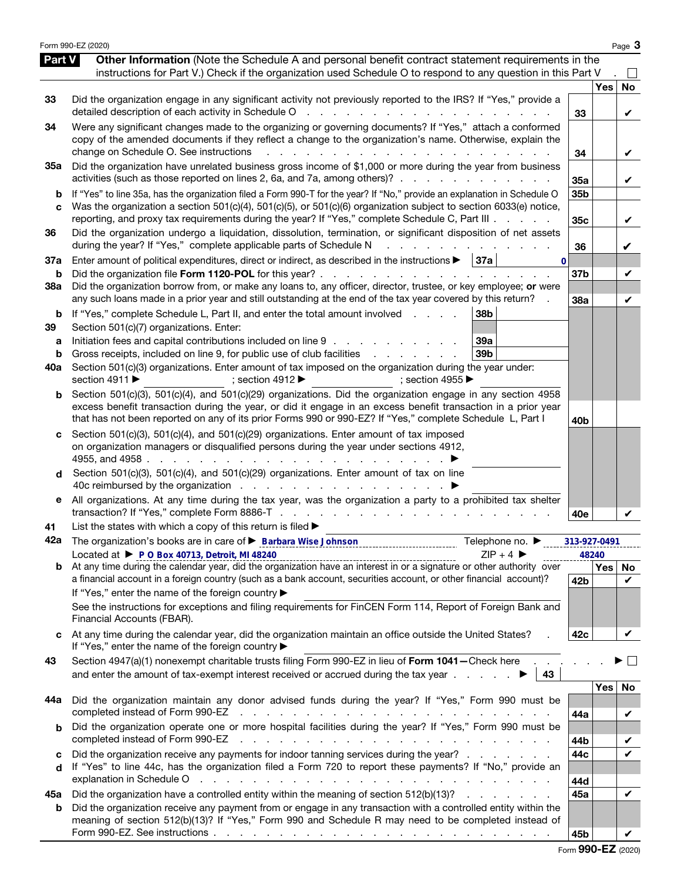|                          | Form 990-EZ (2020)                                                                                                                                                                                                                                                                                                                                                                                                                                                                                                                                   |              |     | Page 3         |
|--------------------------|------------------------------------------------------------------------------------------------------------------------------------------------------------------------------------------------------------------------------------------------------------------------------------------------------------------------------------------------------------------------------------------------------------------------------------------------------------------------------------------------------------------------------------------------------|--------------|-----|----------------|
| Part V                   | Other Information (Note the Schedule A and personal benefit contract statement requirements in the<br>instructions for Part V.) Check if the organization used Schedule O to respond to any question in this Part V                                                                                                                                                                                                                                                                                                                                  |              |     |                |
| 33                       | Did the organization engage in any significant activity not previously reported to the IRS? If "Yes," provide a<br>detailed description of each activity in Schedule O<br>and the state of the state of the                                                                                                                                                                                                                                                                                                                                          | 33           | Yes | <b>No</b><br>V |
| 34                       | Were any significant changes made to the organizing or governing documents? If "Yes," attach a conformed<br>copy of the amended documents if they reflect a change to the organization's name. Otherwise, explain the<br>change on Schedule O. See instructions                                                                                                                                                                                                                                                                                      | 34           |     | V              |
| 35a                      | Did the organization have unrelated business gross income of \$1,000 or more during the year from business<br>activities (such as those reported on lines 2, 6a, and 7a, among others)?                                                                                                                                                                                                                                                                                                                                                              | 35a          |     | V              |
| b<br>C                   | If "Yes" to line 35a, has the organization filed a Form 990-T for the year? If "No," provide an explanation in Schedule O<br>Was the organization a section 501(c)(4), 501(c)(5), or 501(c)(6) organization subject to section 6033(e) notice,<br>reporting, and proxy tax requirements during the year? If "Yes," complete Schedule C, Part III                                                                                                                                                                                                     | 35b<br>35c   |     | V              |
| 36                       | Did the organization undergo a liquidation, dissolution, termination, or significant disposition of net assets<br>during the year? If "Yes," complete applicable parts of Schedule N                                                                                                                                                                                                                                                                                                                                                                 | 36           |     | V              |
| 37a<br>b                 | Enter amount of political expenditures, direct or indirect, as described in the instructions $\blacktriangleright$   37a<br>$\bf{0}$<br>Did the organization file Form 1120-POL for this year? .<br>and the company of the company of                                                                                                                                                                                                                                                                                                                | 37b          |     | V              |
| 38a                      | Did the organization borrow from, or make any loans to, any officer, director, trustee, or key employee; or were<br>any such loans made in a prior year and still outstanding at the end of the tax year covered by this return?                                                                                                                                                                                                                                                                                                                     | 38a          |     | V              |
| b<br>39<br>a<br>b<br>40a | 38b<br>If "Yes," complete Schedule L, Part II, and enter the total amount involved<br>Section 501(c)(7) organizations. Enter:<br>Initiation fees and capital contributions included on line 9<br>39a<br>Gross receipts, included on line 9, for public use of club facilities<br>39 <sub>b</sub><br>and the contract of the contract of<br>Section 501(c)(3) organizations. Enter amount of tax imposed on the organization during the year under:<br>section 4911 ▶<br>; section 4912 $\blacktriangleright$<br>; section 4955 $\blacktriangleright$ |              |     |                |
| b                        | Section 501(c)(3), 501(c)(4), and 501(c)(29) organizations. Did the organization engage in any section 4958<br>excess benefit transaction during the year, or did it engage in an excess benefit transaction in a prior year<br>that has not been reported on any of its prior Forms 990 or 990-EZ? If "Yes," complete Schedule L, Part I                                                                                                                                                                                                            | 40b          |     |                |
| d                        | Section 501(c)(3), 501(c)(4), and 501(c)(29) organizations. Enter amount of tax imposed<br>on organization managers or disqualified persons during the year under sections 4912,<br>4955, and 4958.<br>Section 501(c)(3), 501(c)(4), and 501(c)(29) organizations. Enter amount of tax on line                                                                                                                                                                                                                                                       |              |     |                |
| е                        | All organizations. At any time during the tax year, was the organization a party to a prohibited tax shelter                                                                                                                                                                                                                                                                                                                                                                                                                                         | 40e          |     |                |
| 41<br>42a                | List the states with which a copy of this return is filed $\blacktriangleright$<br>The organization's books are in care of <b>&gt; Barbara Wise Johnson CONDITE:</b> The organization's books are in care of <b>&gt; Barbara Wise Johnson</b><br>Telephone no. ▶                                                                                                                                                                                                                                                                                     | 313-927-0491 |     |                |
|                          | Located at ▶ P O Box 40713, Detroit, MI 48240<br>$ZIP + 4$                                                                                                                                                                                                                                                                                                                                                                                                                                                                                           | 48240        |     |                |
|                          | a financial account in a foreign country (such as a bank account, securities account, or other financial account)?<br>If "Yes," enter the name of the foreign country ▶<br>See the instructions for exceptions and filing requirements for FinCEN Form 114, Report of Foreign Bank and                                                                                                                                                                                                                                                               | 42b          | Yes | No<br>V        |
|                          | Financial Accounts (FBAR).                                                                                                                                                                                                                                                                                                                                                                                                                                                                                                                           |              |     |                |
| c                        | At any time during the calendar year, did the organization maintain an office outside the United States?<br>If "Yes," enter the name of the foreign country ▶                                                                                                                                                                                                                                                                                                                                                                                        | 42c          |     | V              |
| 43                       | Section 4947(a)(1) nonexempt charitable trusts filing Form 990-EZ in lieu of Form 1041-Check here<br>and enter the amount of tax-exempt interest received or accrued during the tax year $\ldots$<br>43                                                                                                                                                                                                                                                                                                                                              |              |     | $\mathcal{L}$  |
| 44a                      | Did the organization maintain any donor advised funds during the year? If "Yes," Form 990 must be<br>completed instead of Form 990-EZ<br>and the contract of the contract of the contract of the contract of the contract of the contract of the contract of the contract of the contract of the contract of the contract of the contract of the contract of the contra                                                                                                                                                                              | 44a          | Yes | No<br>V        |
| b                        | Did the organization operate one or more hospital facilities during the year? If "Yes," Form 990 must be<br>completed instead of Form 990-EZ<br>والمتحاول والمتحاول والمتحاول والمتحاول والمتحاول والمتحاول والمتحاول والمتحاولة                                                                                                                                                                                                                                                                                                                     | 44b          |     | V              |
| c<br>d                   | Did the organization receive any payments for indoor tanning services during the year?<br>If "Yes" to line 44c, has the organization filed a Form 720 to report these payments? If "No," provide an<br>explanation in Schedule O<br>المتابعة والمتابعة والمتابعة والمتابعة والمتابعة والمتابعة والمتابعة والمتابعة والمتابعة والمتابعة                                                                                                                                                                                                               | 44c<br>44d   |     | $\checkmark$   |
| 45а                      | Did the organization have a controlled entity within the meaning of section 512(b)(13)?                                                                                                                                                                                                                                                                                                                                                                                                                                                              | 45a          |     | $\checkmark$   |
| b                        | Did the organization receive any payment from or engage in any transaction with a controlled entity within the<br>meaning of section 512(b)(13)? If "Yes," Form 990 and Schedule R may need to be completed instead of                                                                                                                                                                                                                                                                                                                               | 45b          |     |                |

Form 990-EZ (2020)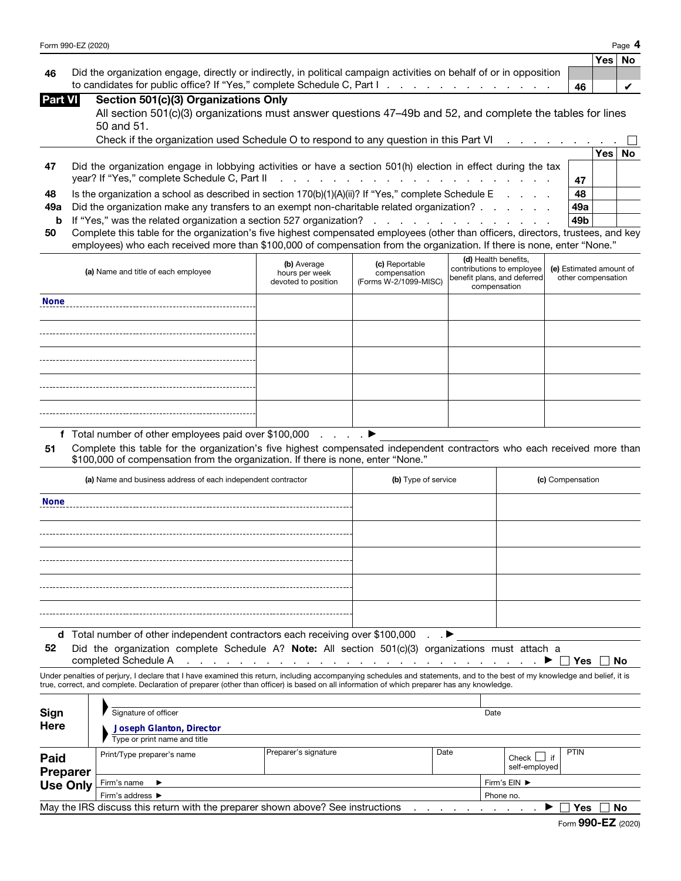| Form 990-EZ (2020) | Page |
|--------------------|------|
|                    |      |

|    |                                                                                                                     |     | Yes No |  |
|----|---------------------------------------------------------------------------------------------------------------------|-----|--------|--|
| 46 | Did the organization engage, directly or indirectly, in political campaign activities on behalf of or in opposition |     |        |  |
|    | to candidates for public office? If "Yes," complete Schedule C, Part I.                                             | -46 |        |  |

| <b>Part VII</b> |  | Section 501(c)(3) Organizations Only |  |  |
|-----------------|--|--------------------------------------|--|--|
|                 |  |                                      |  |  |

| All section 501(c)(3) organizations must answer questions 47–49b and 52, and complete the tables for lines |
|------------------------------------------------------------------------------------------------------------|
| 50 and 51.                                                                                                 |

|    | Check if the organization used Schedule O to respond to any question in this Part VI<br>the contract of the contract of the contract of the contract of the contract of the contract of the contract of |     |       |           |
|----|---------------------------------------------------------------------------------------------------------------------------------------------------------------------------------------------------------|-----|-------|-----------|
|    |                                                                                                                                                                                                         |     | Yes l | <b>No</b> |
| 47 | Did the organization engage in lobbying activities or have a section 501(h) election in effect during the tax                                                                                           |     |       |           |
|    |                                                                                                                                                                                                         | 47  |       |           |
| 48 | Is the organization a school as described in section $170(b)(1)(A)(ii)$ ? If "Yes," complete Schedule E                                                                                                 | 48  |       |           |
|    | <b>49a</b> Did the organization make any transfers to an exempt non-charitable related organization?                                                                                                    | 49a |       |           |
|    | <b>b</b> If "Yes," was the related organization a section 527 organization?                                                                                                                             | 49b |       |           |
|    |                                                                                                                                                                                                         |     |       |           |

| 50 Complete this table for the organization's five highest compensated employees (other than officers, directors, trustees, and key |
|-------------------------------------------------------------------------------------------------------------------------------------|
| employees) who each received more than \$100,000 of compensation from the organization. If there is none, enter "None."             |

|                | to candidates for public office? If "Yes," complete Schedule C, Part I.                                                                                                                                     |                               |                                                                                                                                                                                                                                |                      |                                             | 46                      |     | V         |
|----------------|-------------------------------------------------------------------------------------------------------------------------------------------------------------------------------------------------------------|-------------------------------|--------------------------------------------------------------------------------------------------------------------------------------------------------------------------------------------------------------------------------|----------------------|---------------------------------------------|-------------------------|-----|-----------|
| <b>Part VI</b> | Section 501(c)(3) Organizations Only                                                                                                                                                                        |                               |                                                                                                                                                                                                                                |                      |                                             |                         |     |           |
|                | All section 501(c)(3) organizations must answer questions 47–49b and 52, and complete the tables for lines                                                                                                  |                               |                                                                                                                                                                                                                                |                      |                                             |                         |     |           |
|                | 50 and 51.                                                                                                                                                                                                  |                               |                                                                                                                                                                                                                                |                      |                                             |                         |     |           |
|                | Check if the organization used Schedule O to respond to any question in this Part VI                                                                                                                        |                               |                                                                                                                                                                                                                                |                      |                                             |                         |     |           |
|                |                                                                                                                                                                                                             |                               |                                                                                                                                                                                                                                |                      |                                             |                         | Yes | <b>No</b> |
| 47             | Did the organization engage in lobbying activities or have a section 501(h) election in effect during the tax                                                                                               |                               |                                                                                                                                                                                                                                |                      |                                             |                         |     |           |
|                | year? If "Yes," complete Schedule C, Part II                                                                                                                                                                |                               | and the contract of the contract of the contract of the contract of the contract of the contract of the contract of the contract of the contract of the contract of the contract of the contract of the contract of the contra |                      |                                             | 47                      |     |           |
| 48             | Is the organization a school as described in section 170(b)(1)(A)(ii)? If "Yes," complete Schedule E                                                                                                        |                               |                                                                                                                                                                                                                                |                      | <b>Contract Contract Contract</b>           | 48                      |     |           |
| 49a            | Did the organization make any transfers to an exempt non-charitable related organization?                                                                                                                   |                               |                                                                                                                                                                                                                                |                      |                                             | 49a                     |     |           |
| b              | If "Yes," was the related organization a section 527 organization?                                                                                                                                          |                               | and a series and a series and a                                                                                                                                                                                                |                      |                                             | 49 <sub>b</sub>         |     |           |
| 50             | Complete this table for the organization's five highest compensated employees (other than officers, directors, trustees, and key                                                                            |                               |                                                                                                                                                                                                                                |                      |                                             |                         |     |           |
|                | employees) who each received more than \$100,000 of compensation from the organization. If there is none, enter "None."                                                                                     |                               |                                                                                                                                                                                                                                |                      |                                             |                         |     |           |
|                | (a) Name and title of each employee                                                                                                                                                                         | (b) Average<br>hours per week | (c) Reportable<br>compensation                                                                                                                                                                                                 | (d) Health benefits, | contributions to employee                   | (e) Estimated amount of |     |           |
|                |                                                                                                                                                                                                             | devoted to position           | (Forms W-2/1099-MISC)                                                                                                                                                                                                          |                      | benefit plans, and deferred<br>compensation | other compensation      |     |           |
| <b>None</b>    |                                                                                                                                                                                                             |                               |                                                                                                                                                                                                                                |                      |                                             |                         |     |           |
|                |                                                                                                                                                                                                             |                               |                                                                                                                                                                                                                                |                      |                                             |                         |     |           |
|                |                                                                                                                                                                                                             |                               |                                                                                                                                                                                                                                |                      |                                             |                         |     |           |
|                |                                                                                                                                                                                                             |                               |                                                                                                                                                                                                                                |                      |                                             |                         |     |           |
|                |                                                                                                                                                                                                             |                               |                                                                                                                                                                                                                                |                      |                                             |                         |     |           |
|                |                                                                                                                                                                                                             |                               |                                                                                                                                                                                                                                |                      |                                             |                         |     |           |
|                |                                                                                                                                                                                                             |                               |                                                                                                                                                                                                                                |                      |                                             |                         |     |           |
|                |                                                                                                                                                                                                             |                               |                                                                                                                                                                                                                                |                      |                                             |                         |     |           |
|                |                                                                                                                                                                                                             |                               |                                                                                                                                                                                                                                |                      |                                             |                         |     |           |
|                |                                                                                                                                                                                                             |                               |                                                                                                                                                                                                                                |                      |                                             |                         |     |           |
|                | f Total number of other employees paid over \$100,000                                                                                                                                                       | and a state of                |                                                                                                                                                                                                                                |                      |                                             |                         |     |           |
| 51             | Complete this table for the organization's five highest compensated independent contractors who each received more than<br>\$100,000 of compensation from the organization. If there is none, enter "None." |                               |                                                                                                                                                                                                                                |                      |                                             |                         |     |           |
|                | (a) Name and business address of each independent contractor                                                                                                                                                |                               | (b) Type of service                                                                                                                                                                                                            |                      |                                             | (c) Compensation        |     |           |
| <b>None</b>    |                                                                                                                                                                                                             |                               |                                                                                                                                                                                                                                |                      |                                             |                         |     |           |

| (a) Name and business address of each independent contractor                                     | (b) Type of service | (c) Compensation |  |  |
|--------------------------------------------------------------------------------------------------|---------------------|------------------|--|--|
| <b>None</b>                                                                                      |                     |                  |  |  |
|                                                                                                  |                     |                  |  |  |
|                                                                                                  |                     |                  |  |  |
|                                                                                                  |                     |                  |  |  |
|                                                                                                  |                     |                  |  |  |
|                                                                                                  |                     |                  |  |  |
| d Total number of other independent contractors each receiving over \$100,000<br>$\cdot$ $\cdot$ |                     |                  |  |  |

52 Did the organization complete Schedule A? Note: All section 501(c)(3) organizations must attach a

completed Schedule A . . . . . . . . . . . . . . . . . . . . . . . . . . . ▶ Yes No

Under penalties of perjury, I declare that I have examined this return, including accompanying schedules and statements, and to the best of my knowledge and belief, it is true, correct, and complete. Declaration of preparer (other than officer) is based on all information of which preparer has any knowledge.

| Sign<br><b>Here</b>                                                                          | Signature of officer<br><b>Joseph Glanton, Director</b> |                      |      | Date         |                                  |      |
|----------------------------------------------------------------------------------------------|---------------------------------------------------------|----------------------|------|--------------|----------------------------------|------|
|                                                                                              | Type or print name and title                            |                      |      |              |                                  |      |
| <b>Paid</b><br><b>Preparer</b>                                                               | Print/Type preparer's name                              | Preparer's signature | Date |              | Check $\Box$ if<br>self-employed | PTIN |
| Use Only                                                                                     | Firm's name $\blacktriangleright$                       |                      |      | Firm's EIN ▶ |                                  |      |
|                                                                                              | Firm's address ▶                                        |                      |      | Phone no.    |                                  |      |
| May the IRS discuss this return with the preparer shown above? See instructions<br>No<br>Yes |                                                         |                      |      |              |                                  |      |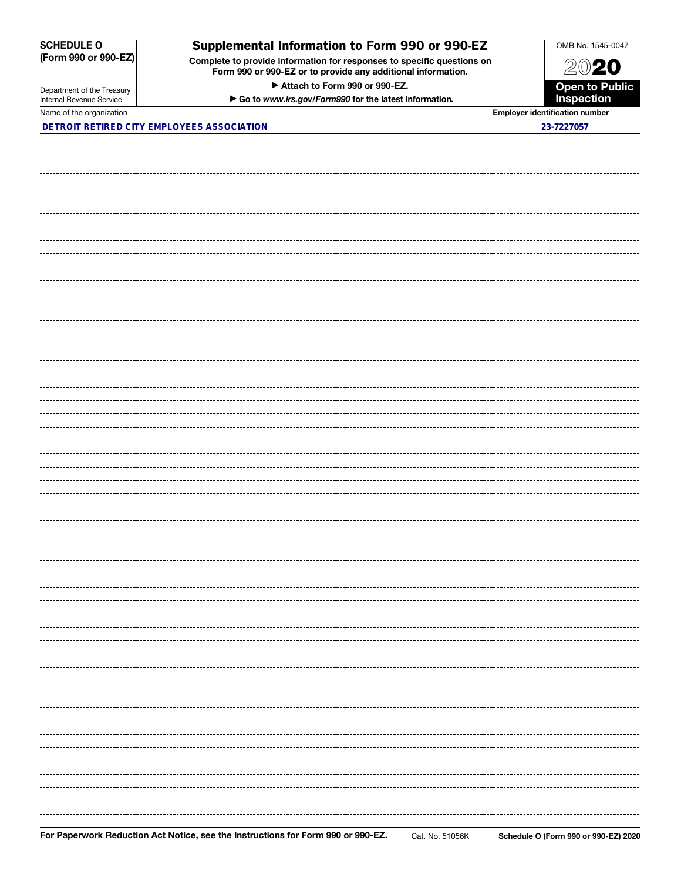### SCHEDULE O (Form 990 or 990-EZ)

## Supplemental Information to Form 990 or 990-EZ

Complete to provide information for responses to specific questions on Form 990 or 990-EZ or to provide any additional information.

▶ Attach to Form 990 or 990-EZ.



| Department of the Treasury<br>Internal Revenue Service | Attach to Form 990 or 990-EZ.<br>Go to www.irs.gov/Form990 for the latest information. | <b>Open to Public<br/>Inspection</b>  |
|--------------------------------------------------------|----------------------------------------------------------------------------------------|---------------------------------------|
| Name of the organization                               |                                                                                        | <b>Employer identification number</b> |
| DETROIT RETIRED CITY EMPLOYEES ASSOCIATION             |                                                                                        | 23-7227057                            |
|                                                        |                                                                                        |                                       |
|                                                        |                                                                                        |                                       |
|                                                        |                                                                                        |                                       |
|                                                        |                                                                                        |                                       |
|                                                        |                                                                                        |                                       |
|                                                        |                                                                                        |                                       |
|                                                        |                                                                                        |                                       |
|                                                        |                                                                                        |                                       |
|                                                        |                                                                                        |                                       |
|                                                        |                                                                                        |                                       |
|                                                        |                                                                                        |                                       |
|                                                        |                                                                                        |                                       |
|                                                        |                                                                                        |                                       |
|                                                        |                                                                                        |                                       |
|                                                        |                                                                                        |                                       |
|                                                        |                                                                                        |                                       |
|                                                        |                                                                                        |                                       |
|                                                        |                                                                                        |                                       |
|                                                        |                                                                                        |                                       |
|                                                        |                                                                                        |                                       |
|                                                        |                                                                                        |                                       |
|                                                        |                                                                                        |                                       |
|                                                        |                                                                                        |                                       |
|                                                        |                                                                                        |                                       |
|                                                        |                                                                                        |                                       |
|                                                        |                                                                                        |                                       |
|                                                        |                                                                                        |                                       |
|                                                        |                                                                                        |                                       |
|                                                        |                                                                                        |                                       |
|                                                        |                                                                                        |                                       |
|                                                        |                                                                                        |                                       |
|                                                        |                                                                                        |                                       |
|                                                        |                                                                                        |                                       |
|                                                        |                                                                                        |                                       |
|                                                        |                                                                                        |                                       |
|                                                        |                                                                                        |                                       |
|                                                        |                                                                                        |                                       |
|                                                        |                                                                                        |                                       |
|                                                        |                                                                                        |                                       |
|                                                        |                                                                                        |                                       |
|                                                        |                                                                                        |                                       |
|                                                        |                                                                                        |                                       |
|                                                        |                                                                                        |                                       |
|                                                        |                                                                                        |                                       |
|                                                        |                                                                                        |                                       |
|                                                        |                                                                                        |                                       |
|                                                        |                                                                                        |                                       |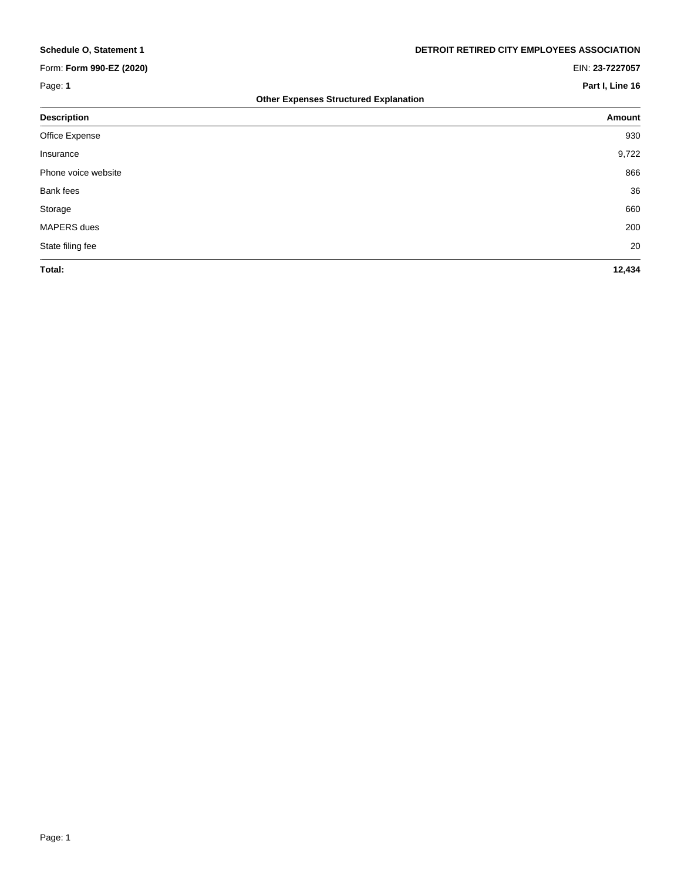### Form: **Form 990-EZ (2020)** EIN: **23-7227057**

**Schedule O, Statement 1 DETROIT RETIRED CITY EMPLOYEES ASSOCIATION**

### Page: 1 **Page:** 1

| <b>Other Expenses Structured Explanation</b> |  |  |  |  |  |  |
|----------------------------------------------|--|--|--|--|--|--|
|----------------------------------------------|--|--|--|--|--|--|

| <b>Description</b>  | Amount |
|---------------------|--------|
| Office Expense      | 930    |
| Insurance           | 9,722  |
| Phone voice website | 866    |
| Bank fees           | 36     |
| Storage             | 660    |
| MAPERS dues         | 200    |
| State filing fee    | 20     |
| Total:              | 12,434 |